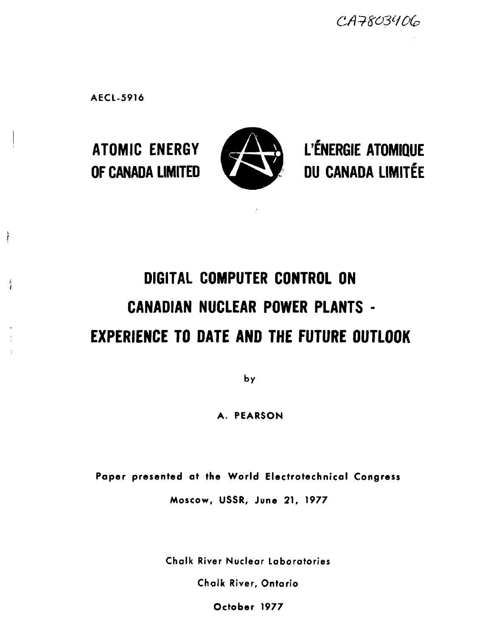CA7803406

**AECl-5916**

ł

i.



**ATOMIC ENERGY GS & L'ÉNERGIE ATOMIQUE OF CANADA LIMITED <b>the second of CANADA LIMITÉE** 

# **DIGITAL COMPUTER CONTROL ON CANADIAN NUCLEAR POWER PLANTS - EXPERIENCE TO DATE AND THE FUTURE OUTLOOK**

**by**

**A. PEARSON**

Paper presented at the World Electrotechnical Congress

**Moscow, USSR, June 21, 1977**

Chalk River Nuclear Laboratories

Chalk River, Ontario

**October 1977**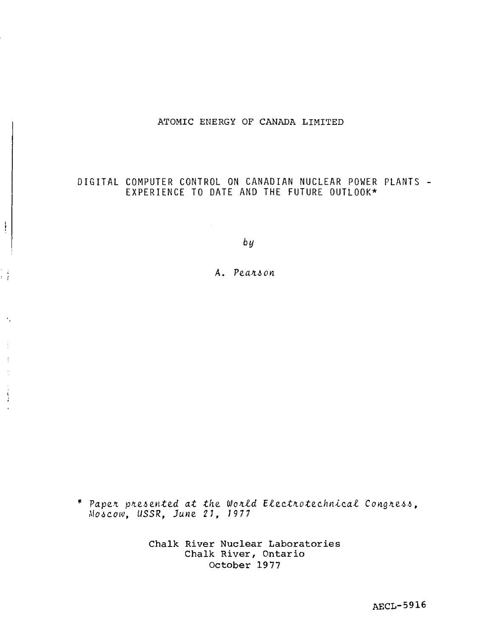# ATOMIC ENERGY OF CANADA LIMITED

# DIGITAL COMPUTER CONTROL ON CANADIAN NUCLEAR POWER PLANTS -EXPERIENCE TO DATE AND THE FUTURE OUTLOOK\*

 $by$ 

 $\frac{1}{2}$ 

έÌ

 $\epsilon_i$ 

 $\ddot{\cdot}$ 

 $\ddot{\cdot}$ 

A. Pearson

\* Paper presented at the World Electrotechnical Congress, Moscow, USSR, June 21, 1977

> Chalk River Nuclear Laboratories Chalk River, Ontario October 1977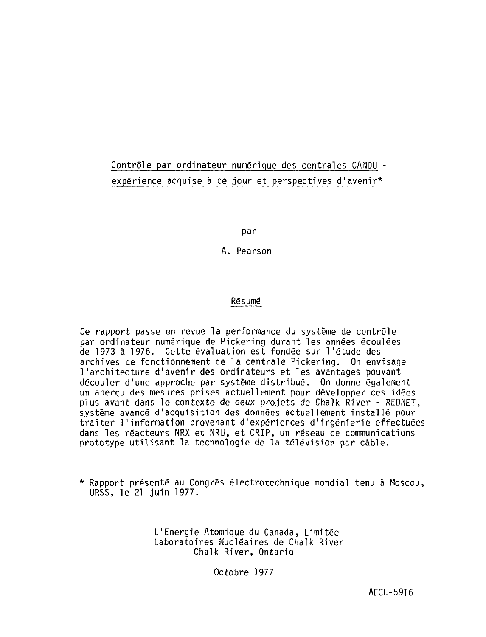# Contrôle par ordinateur numérique des centrales CANDU expérience acquise à ce jour et perspectives d'avenir\*

par

A. Pearson

# Résumé

Ce rapport passe en revue la performance du système de contrôle par ordinateur numérique de Pickering durant les années écoulées de 1973 à 1976. Cette évaluation est fondée sur l'étude des archives de fonctionnement de la centrale Pickering. On envisage l'architecture d'avenir des ordinateurs et les avantages pouvant découler d'une approche par système distribué. On donne également un aperçu des mesures prises actuellement pour développer ces idées plus avant dans le contexte de deux projets de Chalk River - REDNET, système avancé d'acquisition des données actuellement installé pour traiter l'information provenant d'expériences d'ingénierie effectuées dans les réacteurs NRX et NRU, et CRIP, un réseau de communications prototype utilisant la technologie de la télévision par câble.

\* Rapport présenté au Congrès électrotechnique mondial tenu à Moscou, URSS, le 21 juin 1977.

> L'Energie Atomique du Canada, Limitée Laboratoires Nucléaires de Chalk River Chalk River, Ontario

> > Octobre 1977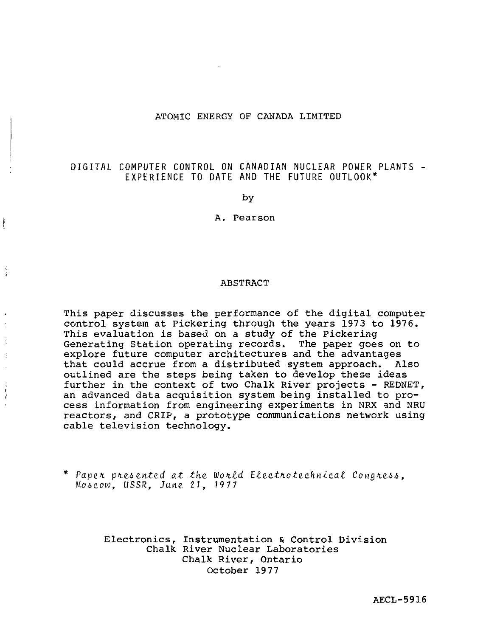## ATOMIC ENERGY OF CANADA LIMITED

# DIGITAL COMPUTER CONTROL ON CANADIAN NUCLEAR POWER PLANTS EXPERIENCE TO DATE AND THE FUTURE OUTLOOK\*

by

A. Pearson

#### ABSTRACT

This paper discusses the performance of the digital computer control system at Pickering through the years 1973 to 1976. This evaluation is based on a study of the Pickering Generating Station operating records. The paper goes on to explore future computer architectures and the advantages that could accrue from a distributed system approach. Also outlined are the steps being taken to develop these ideas further in the context of two Chalk River projects - REDNET, an advanced data acquisition system being installed to process information from engineering experiments in NRX and NRU reactors, and CRIP, a prototype communications network using cable television technology.

j

Paper presented at the World Electrotechnical Congress, Moscow, USSR, June 21, 1977

> Electronics, Instrumentation & Control Division Chalk River Nuclear Laboratories Chalk River, Ontario October 1977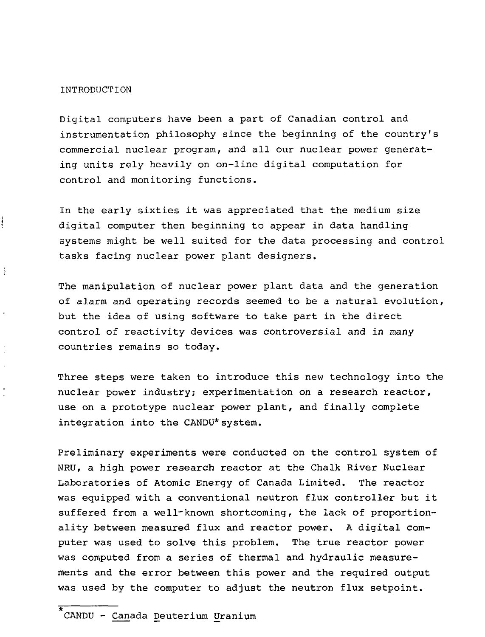INTRODUCTION

 $\frac{1}{2}$ 

÷

Digital computers have been a part of Canadian control and instrumentation philosophy since the beginning of the country's commercial nuclear program, and all our nuclear power generating units rely heavily on on-line digital computation for control and monitoring functions.

In the early sixties it was appreciated that the medium size digital computer then beginning to appear in data handling systems might be well suited for the data processing and control tasks facing nuclear power plant designers.

The manipulation of nuclear power plant data and the generation of alarm and operating records seemed to be a natural evolution, but the idea of using software to take part in the direct control of reactivity devices was controversial and in many countries remains so today.

Three steps were taken to introduce this new technology into the nuclear power industry; experimentation on a research reactor, use on a prototype nuclear power plant, and finally complete integration into the CANDU\*system.

Preliminary experiments were conducted on the control system of NRU, a high power research reactor at the Chalk River Nuclear Laboratories of Atomic Energy of Canada Limited. The reactor was equipped with a conventional neutron flux controller but it suffered from a well-known shortcoming, the lack of proportionality between measured flux and reactor power. A digital computer was used to solve this problem. The true reactor power was computed from a series of thermal and hydraulic measurements and the error between this power and the required output was used by the computer to adjust the neutron flux setpoint.

\* CANDU - Canada Deuterium Uranium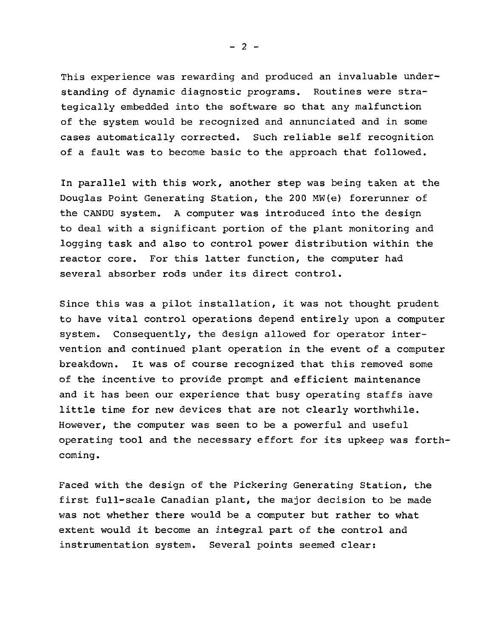This experience was rewarding and produced an invaluable understanding of dynamic diagnostic programs. Routines were strategically embedded into the software so that any malfunction of the system would be recognized and annunciated and in some cases automatically corrected. Such reliable self recognition of a fault was to become basic to the approach that followed.

In parallel with this work, another step was being taken at the Douglas Point Generating Station, the 200 MW(e) forerunner of the CANDU system. A computer was introduced into the design to deal with a significant portion of the plant monitoring and logging task and also to control power distribution within the reactor core. For this latter function, the computer had several absorber rods under its direct control.

Since this was a pilot installation, it was not thought prudent to have vital control operations depend entirely upon a computer system. Consequently, the design allowed for operator intervention and continued plant operation in the event of a computer breakdown. It was of course recognized that this removed some of the incentive to provide prompt and efficient maintenance and it has been our experience that busy operating staffs have little time for new devices that are not clearly worthwhile. However, the computer was seen to be a powerful and useful operating tool and the necessary effort for its upkeep was forthcoming.

Faced with the design of the Pickering Generating Station, the first full-scale Canadian plant, the major decision to be made was not whether there would be a computer but rather to what extent would it become an integral part of the control and instrumentation system. Several points seemed clear:

 $- 2 -$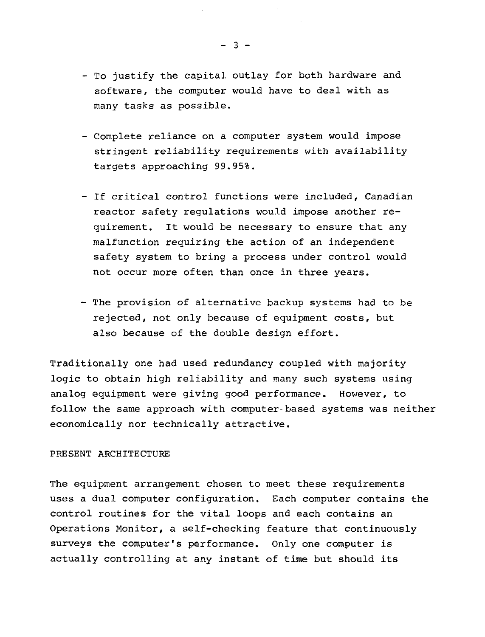- To justify the capital outlay for both hardware and software, the computer would have to deal with as many tasks as possible.
- Complete reliance on a computer system would impose stringent reliability requirements with availability targets approaching 99.95%.
- If critical control functions were included, Canadian reactor safety regulations would impose another requirement. It would be necessary to ensure that any malfunction requiring the action of an independent safety system to bring a process under control would not occur more often than once in three years.
- The provision of alternative backup systems had to be rejected, not only because of equipment costs, but also because of the double design effort.

Traditionally one had used redundancy coupled with majority logic to obtain high reliability and many such systems using analog equipment were giving good performance. However, to follow the same approach with computer-based systems was neither economically nor technically attractive.

## PRESENT ARCHITECTURE

The equipment arrangement chosen to meet these requirements uses a dual computer configuration. Each computer contains the control routines for the vital loops and each contains an Operations Monitor, a self-checking feature that continuously surveys the computer's performance. Only one computer is actually controlling at any instant of time but should its

- 3 -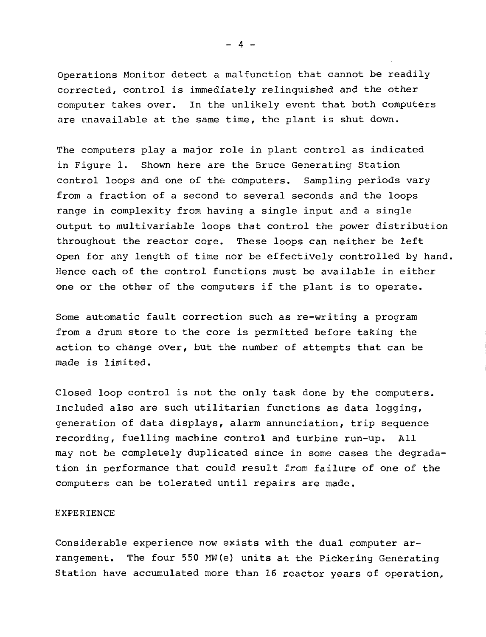Operations Monitor detect a malfunction that cannot be readily corrected, control is immediately relinquished and the other computer takes over. In the unlikely event that both computers are unavailable at the same time, the plant is shut down.

The computers play a major role in plant control as indicated in Figure 1. Shown here are the Bruce Generating Station control loops and one of the computers. Sampling periods vary from a fraction of a second to several seconds and the loops range in complexity from having a single input and a single output to multivariable loops that control the power distribution throughout the reactor core. These loops can neither be left open for any length of time nor be effectively controlled by hand. Hence each of the control functions must be available in either one or the other of the computers if the plant is to operate.

Some automatic fault correction such as re-writing a program from a drum store to the core is permitted before taking the action to change over, but the number of attempts that can be made is limited.

Closed loop control is not the only task done by the computers. Included also are such utilitarian functions as data logging, generation of data displays, alarm annunciation, trip sequence recording, fuelling machine control and turbine run-up. All may not be completely duplicated since in some cases the degradation in performance that could result from failure of one of the computers can be tolerated until repairs are made.

#### EXPERIENCE

Considerable experience now exists with the dual computer arrangement. The four 550 MW(e) units at the Pickering Generating Station have accumulated more than 16 reactor years of operation,

 $- 4 -$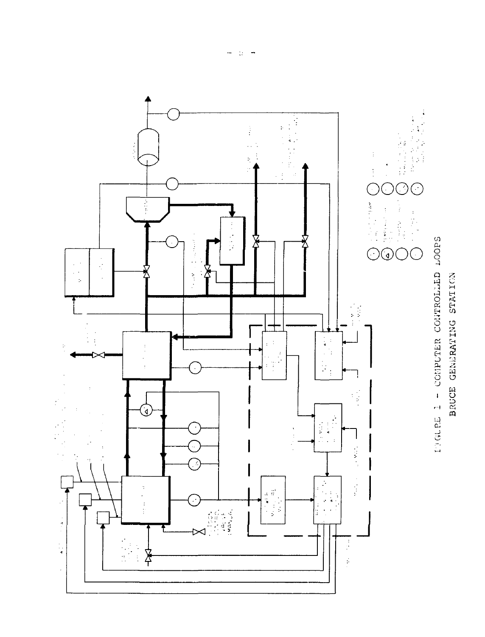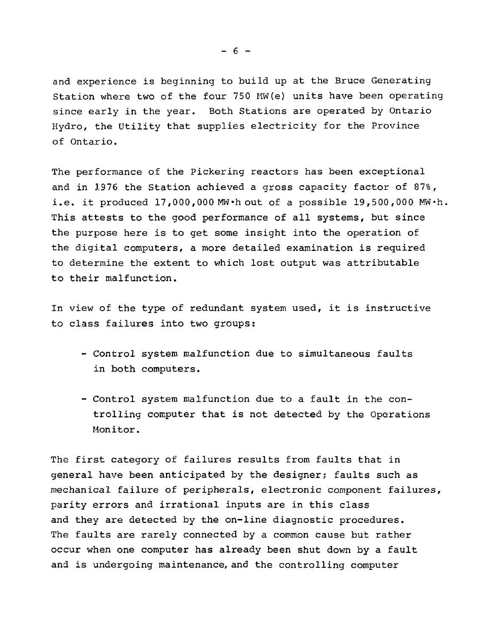and experience is beginning to build up at the Bruce Generating Station where two of the four 750 MW(e) units have been operating since early in the year. Both Stations are operated by Ontario Hydro, the Utility that supplies electricity for the Province of Ontario.

The performance of the Pickering reactors has been exceptional and in 1976 the Station achieved a gross capacity factor of 87%, i.e. it produced  $17,000,000$  MW $\cdot$ h out of a possible 19,500,000 MW $\cdot$ h. This attests to the good performance of all systems, but since the purpose here is to get some insight into the operation of the digital computers, a more detailed examination is required to determine the extent to which lost output was attributable to their malfunction.

In view of the type of redundant system used, it is instructive to class failures into two groups:

- Control system malfunction due to simultaneous faults in both computers.
- Control system malfunction due to a fault in the controlling computer that is not detected by the Operations Monitor.

The first category of failures results from faults that in general have been anticipated by the designer; faults such as mechanical failure of peripherals, electronic component failures, parity errors and irrational inputs are in this class and they are detected by the on-line diagnostic procedures. The faults are rarely connected by a common cause but rather occur when one computer has already been shut down by a fault and is undergoing maintenance, and the controlling computer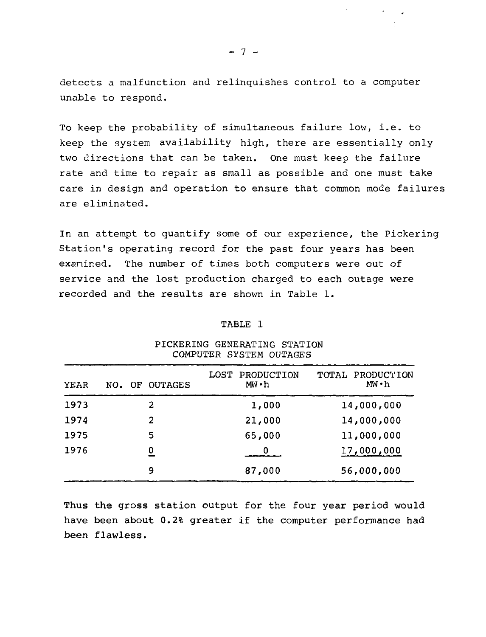detects a malfunction and relinquishes control to a computer unable to respond.

To keep the probability of simultaneous failure low, i.e. to keep the system availability high, there are essentially only two directions that can be taken. One must keep the failure rate and time to repair as small as possible and one must take care in design and operation to ensure that common mode failures are eliminated.

In an attempt to quantify some of our experience, the Pickering Station's operating record for the past four years has been exanined. The number of times both computers were out of service and the lost production charged to each outage were recorded and the results are shown in Table 1.

#### TABLE 1

| YEAR | NO. | OF OUTAGES     | LOST PRODUCTION<br>MW • h | TOTAL PRODUCTION<br>MW • h |
|------|-----|----------------|---------------------------|----------------------------|
| 1973 |     | 2              | 1,000                     | 14,000,000                 |
| 1974 |     | 2              | 21,000                    | 14,000,000                 |
| 1975 |     | 5              | 65,000                    | 11,000,000                 |
| 1976 |     | $\overline{0}$ |                           | 17,000,000                 |
|      |     | 9              | 87,000                    | 56,000,000                 |

#### PICKERING GENERATING STATION COMPUTER SYSTEM OUTAGES

**Thus the gross station output** for **the** four **year period would have been about 0.2% greater** if **the computer performance had been flawless.**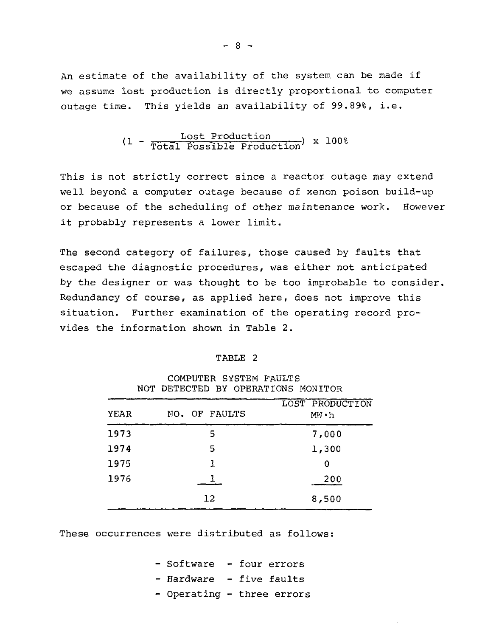An estimate of the availability of the system can be made if we assume lost production is directly proportional to computer outage time. This yields an availability of 99.89%, i.e.

$$
(1 - \frac{lost Production}{Total Possible Production}) \times 100%
$$

This is not strictly correct since a reactor outage may extend well beyond a computer outage because of xenon poison build-up or because of the scheduling of other maintenance work. However it probably represents a lower limit.

The second category of failures, those caused by faults that escaped the diagnostic procedures, was either not anticipated by the designer or was thought to be too improbable to consider. Redundancy of course, as applied here, does not improve this situation. Further examination of the operating record provides the information shown in Table 2.

#### TABLE 2

|      | NOT DETECTED BY OPERATIONS MONITOR |                           |  |  |
|------|------------------------------------|---------------------------|--|--|
| YEAR | NO. OF FAULTS                      | LOST PRODUCTION<br>MW • h |  |  |
| 1973 | 5                                  | 7,000                     |  |  |
| 1974 | 5                                  | 1,300                     |  |  |
| 1975 | 1                                  | 0                         |  |  |
| 1976 |                                    | 200                       |  |  |
|      | 12                                 | 8,500                     |  |  |

COMPUTER SYSTEM FAULTS NOT DETECTED BY OPERATIONS MONITOR

These occurrences were distributed as follows:

- Software - four errors - Hardware - five faults - Operating - three errors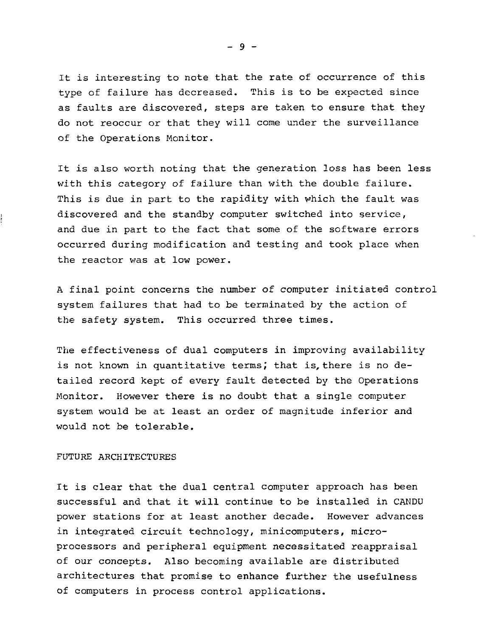It is interesting to note that the rate of occurrence of this type of failure has decreased. This is to be expected since as faults are discovered, steps are taken to ensure that they do not reoccur or that they will come under the surveillance of the Operations Monitor.

It is also worth noting that the generation loss has been less with this category of failure than with the double failure. This is due in part to the rapidity with which the fault was discovered and the standby computer switched into service, and due in part to the fact that some of the software errors occurred during modification and testing and took place when the reactor was at low power.

A final point concerns the number of computer initiated control system failures that had to be terminated by the action of the safety system. This occurred three times.

The effectiveness of dual computers in improving availability is not known in quantitative terms; that is, there is no detailed record kept of every fault detected by the Operations Monitor. However there is no doubt that a single computer system would be at least an order of magnitude inferior and would not be tolerable.

# FUTURE ARCHITECTURES

It is clear that the dual central computer approach has been successful and that it will continue to be installed in CANDU power stations for at least another decade. However advances in integrated circuit technology, minicomputers, microprocessors and peripheral equipment necessitated reappraisal of our concepts. Also becoming available are distributed architectures that promise to enhance further the usefulness of computers in process control applications.

 $-9 -$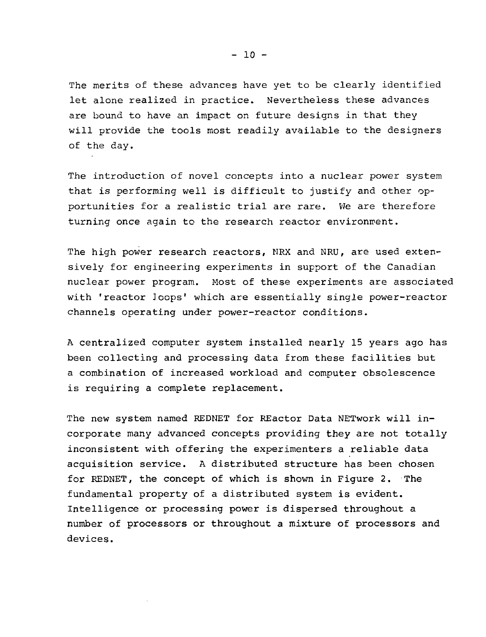The merits of these advances have yet to be clearly identified let alone realized in practice. Nevertheless these advances are bound to have an impact on future designs in that they will provide the tools most readily available to the designers of the day.

The introduction of novel concepts into a nuclear power system that is performing well is difficult to justify and other opportunities for a realistic trial are rare. We are therefore turning once again to the research reactor environment.

The high power research reactors, NRX and NRU, are used extensively for engineering experiments in support of the Canadian nuclear power program. Most of these experiments are associated with 'reactor loops' which are essentially single power-reactor channels operating under power-reactor conditions.

A centralized computer system installed nearly 15 years ago has been collecting and processing data from these facilities but a combination of increased workload and computer obsolescence is requiring a complete replacement.

The new system named REDHET for REactor Data NETwork will incorporate many advanced concepts providing they are not totally inconsistent with offering the experimenters a reliable data acquisition service. A distributed structure has been chosen for REDNET, the concept of which is shown in Figure 2. The fundamental property of a distributed system is evident. Intelligence or processing power is dispersed throughout a number of processors or throughout a mixture of processors and devices.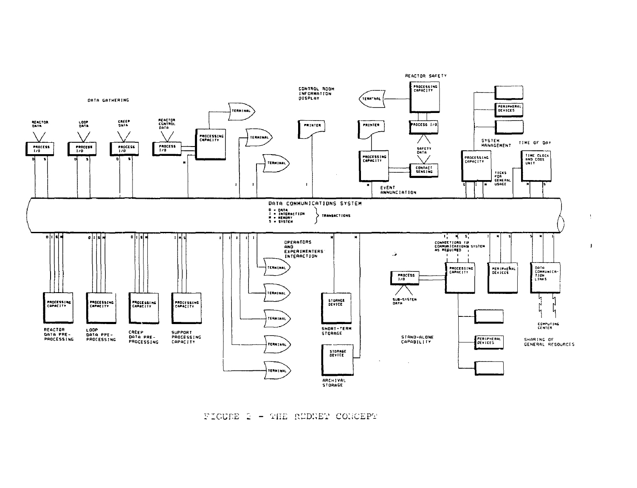FIGURE 2 - THE REDNET CONCEPT

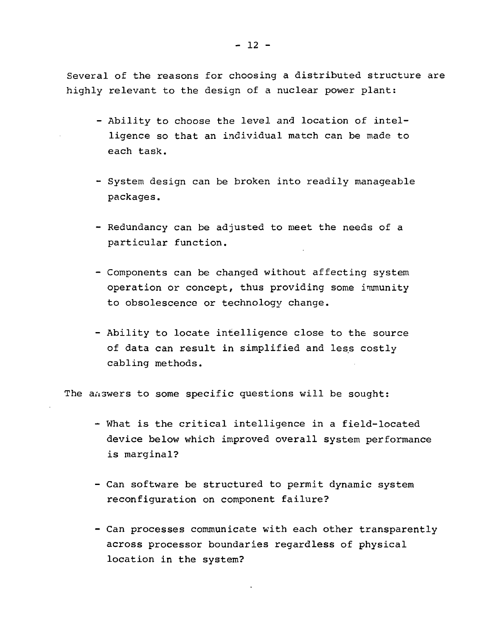Several of the reasons for choosing a distributed structure are highly relevant to the design of a nuclear power plant:

- Ability to choose the level and location of intelligence so that an individual match can be made to each task.
- System design can be broken into readily manageable packages.
- Redundancy can be adjusted to meet the needs of a particular function.
- Components can be changed without affecting system operation or concept, thus providing some immunity to obsolescence or technology change.
- Ability to locate intelligence close to the source of data can result in simplified and less costly cabling methods.

The answers to some specific questions will be sought:

- What is the critical intelligence in a field-located device below which improved overall system performance is marginal?
- Can software be structured to permit dynamic system reconfiguration on component failure?
- Can processes communicate with each other transparently across processor boundaries regardless of physical location in the system?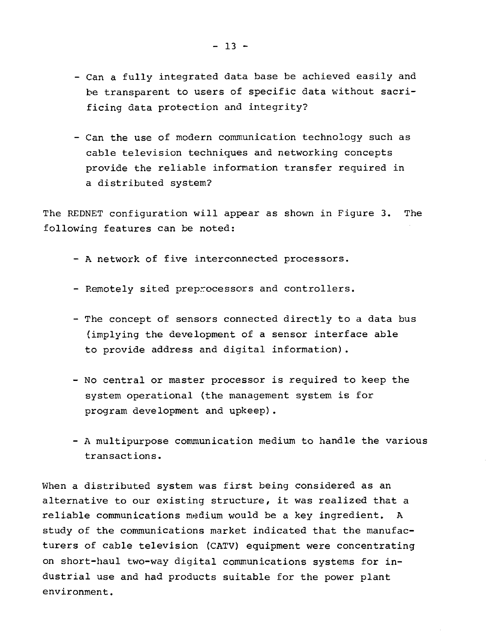- Can a fully integrated data base be achieved easily and be transparent to users of specific data without sacrificing data protection and integrity?
- Can the use of modern communication technology such as cable television techniques and networking concepts provide the reliable information transfer required in a distributed system?

The REDNET configuration will appear as shown in Figure 3. The following features can be noted:

- A network of five interconnected processors.
- Remotely sited preprocessors and controllers.
- The concept of sensors connected directly to a data bus (implying the development of a sensor interface able to provide address and digital information).
- No central or master processor is required to keep the system operational (the management system is for program development and upkeep).
- A multipurpose communication medium to handle the various transactions.

When a distributed system was first being considered as an alternative to our existing structure, it was realized that a reliable communications medium would be a key ingredient. A study of the communications market indicated that the manufacturers of cable television (CATV) equipment were concentrating on short-haul two-way digital communications systems for industrial use and had products suitable for the power plant environment.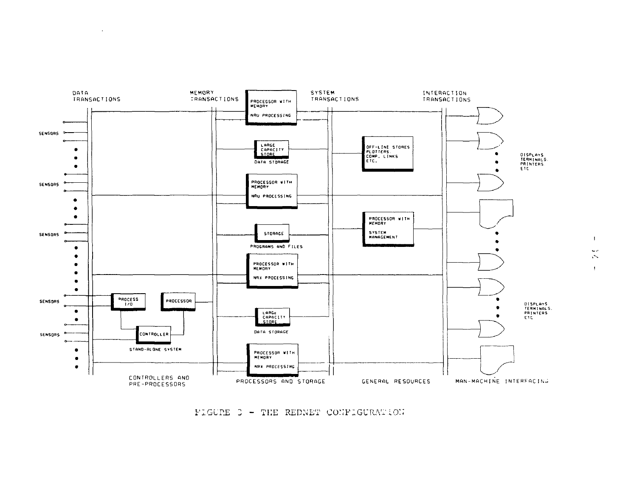FIGURE 3 - THE REDNET CONFIGURATION

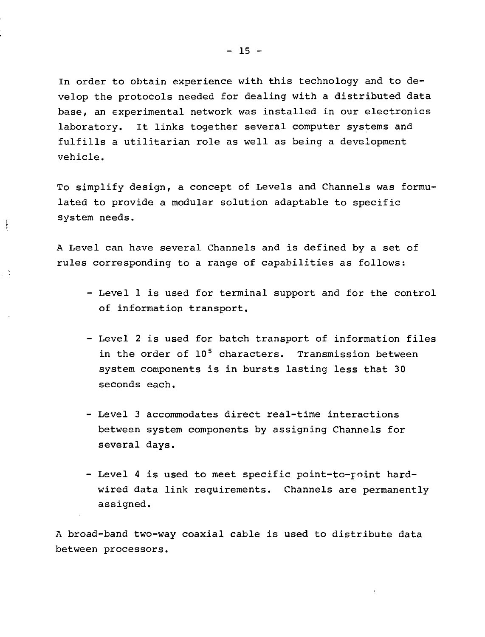In order to obtain experience with this technology and to develop the protocols needed for dealing with a distributed data base, an experimental network was installed in our electronics laboratory. It links together several computer systems and fulfills a utilitarian role as well as being a development vehicle.

To simplify design, a concept of Levels and Channels was formulated to provide a modular solution adaptable to specific system needs.

A Level can have several Channels and is defined by a set of rules corresponding to a range of capabilities as follows:

 $\frac{1}{2}$ 

- Level 1 is used for terminal support and for the control of information transport.
- Level 2 is used for batch transport of information files in the order of 10<sup>5</sup> characters. Transmission between system components is in bursts lasting less that 30 seconds each.
- Level 3 accommodates direct real-time interactions between system components by assigning Channels for several days.
- Level 4 is used to meet specific point-to-point hardwired data link requirements. Channels are permanently assigned.

A broad-band two-way coaxial cable is used to distribute data between processors.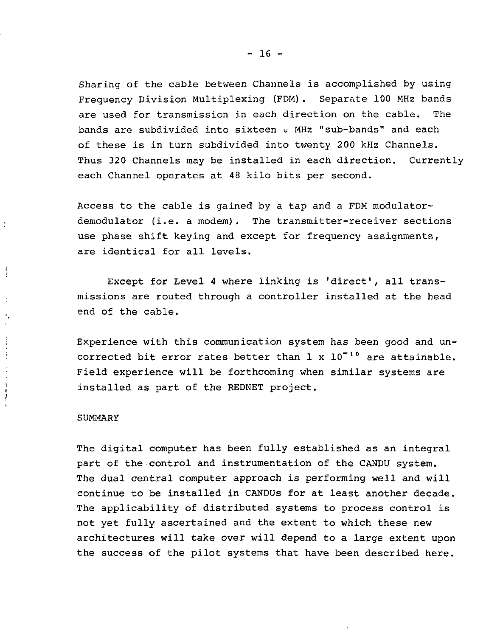Sharing of the cable between Channels is accomplished by using Frequency Division Multiplexing (FDM). Separate 100 MHz bands are used for transmission in each direction on the cable. The bands are subdivided into sixteen o MHz "sub-bands" and each of these is in turn subdivided into twenty 200 kHz Channels. Thus 320 Channels may be installed in each direction. Currently each Channel operates at 48 kilo bits per second.

Access to the cable is gained by a tap and a FDM modulatordemodulator (i.e. a modem). The transmitter-receiver sections use phase shift keying and except for frequency assignments, are identical for all levels.

Except for Level 4 where linking is 'direct', all transmissions are routed through a controller installed at the head end of the cable.

Experience with this communication system has been good and uncorrected bit error rates better than  $1 \times 10^{-10}$  are attainable. Field experience will be forthcoming when similar systems are installed as part of the REDNET project.

#### SUMMARY

÷

Å

 $\mathbf{i}$  $\frac{1}{l}$ 

> The digital computer has been fully established as an integral part of the control and instrumentation of the CANDU system. The dual central computer approach is performing well and will continue to be installed in CANDUs for at least another decade. The applicability of distributed systems to process control is not yet fully ascertained and the extent to which these new architectures will take over will depend to a large extent upon the success of the pilot systems that have been described here.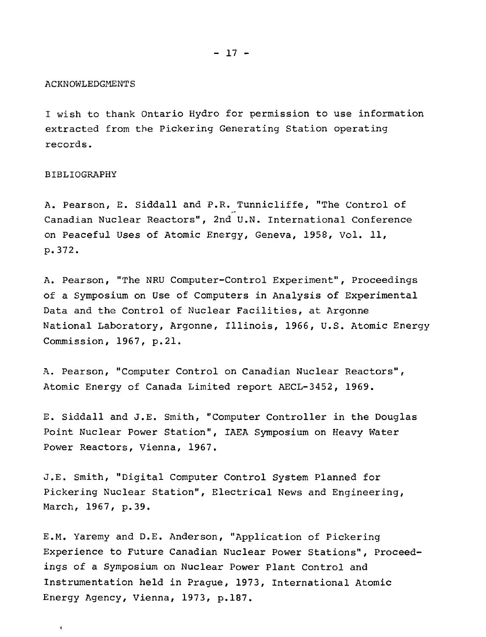#### ACKNOWLEDGMENTS

I wish to thank Ontario Hydro for permission to use information extracted from the Pickering Generating Station operating records.

#### BIBLIOGRAPHY

 $\ddot{\phantom{0}}$ 

A. Pearson, E. Siddall and P.R. Tunnicliffe, "The Control of Canadian Nuclear Reactors", 2nd U.N. International Conference on Peaceful Uses of Atomic Energy, Geneva, 1958, Vol. 11, p.372.

A. Pearson, "The NRU Computer-Control Experiment", Proceedings of a Symposium on Use of Computers in Analysis of Experimental Data and the Control of Nuclear Facilities, at Argonne National Laboratory, Argonne, Illinois, 1966, U.S. Atomic Energy Commission, 1967, p.21.

A. Pearson, "Computer Control on Canadian Nuclear Reactors", Atomic Energy of Canada Limited report AECL-3452, 1969.

E. Siddall and J.E. Smith, "Computer Controller in the Douglas Point Nuclear Power Station", IAEA Symposium on Heavy Water Power Reactors, Vienna, 1967.

J.E. Smith, "Digital Computer Control System Planned for Pickering Nuclear Station", Electrical News and Engineering, March, 1967, p.39.

E.M. Yaremy and D.E. Anderson, "Application of Pickering Experience to Future Canadian Nuclear Power Stations", Proceedings of a Symposium on Nuclear Power Plant Control and Instrumentation held in Prague, 1973, International Atomic Energy Agency, Vienna, 1973, p.187.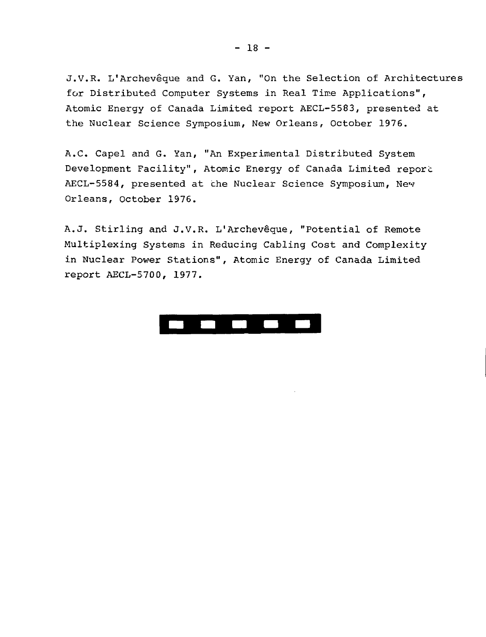J.V.R. L'Archevêque and G. Yan, "On the Selection of Architectures for Distributed Computer Systems in Real Time Applications", Atomic Energy of Canada Limited report AECL-5583, presented at the Nuclear Science Symposium, New Orleans, October 1976.

A.C. Capel and G. Yan, "An Experimental Distributed System Development Facility", Atomic Energy of Canada Limited report AECL-5584, presented at the Nuclear Science Symposium, New Orleans, October 1976.

A.J. Stirling and J.V.R. L'Archevêque, "Potential of Remote Multiplexing Systems in Reducing Cabling Cost and Complexity in Nuclear Power Stations", Atomic Energy of Canada Limited report AECL-5700, 1977.